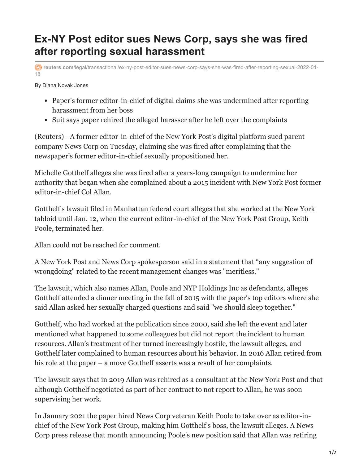## **Ex-NY Post editor sues News Corp, says she was fired after reporting sexual harassment**

**reuters.com**[/legal/transactional/ex-ny-post-editor-sues-news-corp-says-she-was-fired-after-reporting-sexual-2022-01-](https://www.reuters.com/legal/transactional/ex-ny-post-editor-sues-news-corp-says-she-was-fired-after-reporting-sexual-2022-01-18/) 18

By Diana Novak Jones

- Paper's former editor-in-chief of digital claims she was undermined after reporting harassment from her boss
- Suit says paper rehired the alleged harasser after he left over the complaints

(Reuters) - A former editor-in-chief of the New York Post's digital platform sued parent company News Corp on Tuesday, claiming she was fired after complaining that the newspaper's former editor-in-chief sexually propositioned her.

Michelle Gotthelf [alleges](https://tmsnrt.rs/3nYPFX9) she was fired after a years-long campaign to undermine her authority that began when she complained about a 2015 incident with New York Post former editor-in-chief Col Allan.

Gotthelf's lawsuit filed in Manhattan federal court alleges that she worked at the New York tabloid until Jan. 12, when the current editor-in-chief of the New York Post Group, Keith Poole, terminated her.

Allan could not be reached for comment.

A New York Post and News Corp spokesperson said in a statement that "any suggestion of wrongdoing" related to the recent management changes was "meritless."

The lawsuit, which also names Allan, Poole and NYP Holdings Inc as defendants, alleges Gotthelf attended a dinner meeting in the fall of 2015 with the paper's top editors where she said Allan asked her sexually charged questions and said "we should sleep together."

Gotthelf, who had worked at the publication since 2000, said she left the event and later mentioned what happened to some colleagues but did not report the incident to human resources. Allan's treatment of her turned increasingly hostile, the lawsuit alleges, and Gotthelf later complained to human resources about his behavior. In 2016 Allan retired from his role at the paper – a move Gotthelf asserts was a result of her complaints.

The lawsuit says that in 2019 Allan was rehired as a consultant at the New York Post and that although Gotthelf negotiated as part of her contract to not report to Allan, he was soon supervising her work.

In January 2021 the paper hired News Corp veteran Keith Poole to take over as editor-inchief of the New York Post Group, making him Gotthelf's boss, the lawsuit alleges. A News Corp press release that month announcing Poole's new position said that Allan was retiring